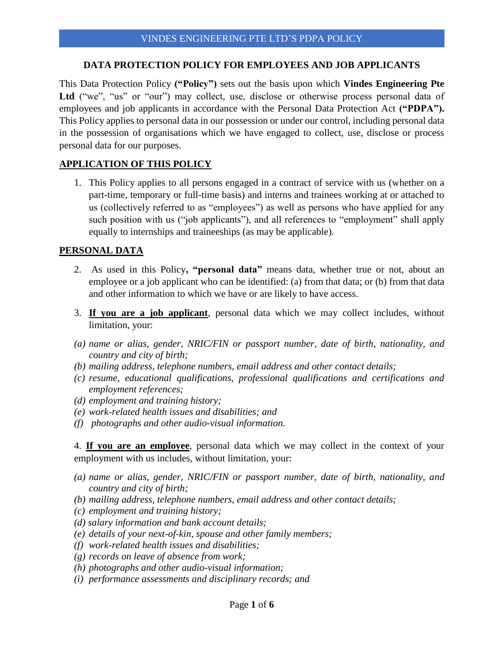#### **DATA PROTECTION POLICY FOR EMPLOYEES AND JOB APPLICANTS**

This Data Protection Policy **("Policy")** sets out the basis upon which **Vindes Engineering Pte**  Ltd ("we", "us" or "our") may collect, use, disclose or otherwise process personal data of employees and job applicants in accordance with the Personal Data Protection Act **("PDPA").** This Policy applies to personal data in our possession or under our control, including personal data in the possession of organisations which we have engaged to collect, use, disclose or process personal data for our purposes.

# **APPLICATION OF THIS POLICY**

1. This Policy applies to all persons engaged in a contract of service with us (whether on a part-time, temporary or full-time basis) and interns and trainees working at or attached to us (collectively referred to as "employees") as well as persons who have applied for any such position with us ("job applicants"), and all references to "employment" shall apply equally to internships and traineeships (as may be applicable).

## **PERSONAL DATA**

- 2. As used in this Policy**, "personal data"** means data, whether true or not, about an employee or a job applicant who can be identified: (a) from that data; or (b) from that data and other information to which we have or are likely to have access.
- 3. **If you are a job applicant**, personal data which we may collect includes, without limitation, your:
- *(a) name or alias, gender, NRIC/FIN or passport number, date of birth, nationality, and country and city of birth;*
- *(b) mailing address, telephone numbers, email address and other contact details;*
- *(c) resume, educational qualifications, professional qualifications and certifications and employment references;*
- *(d) employment and training history;*
- *(e) work-related health issues and disabilities; and*
- *(f) photographs and other audio-visual information.*

4. **If you are an employee**, personal data which we may collect in the context of your employment with us includes, without limitation, your:

- *(a) name or alias, gender, NRIC/FIN or passport number, date of birth, nationality, and country and city of birth;*
- *(b) mailing address, telephone numbers, email address and other contact details;*
- *(c) employment and training history;*
- *(d) salary information and bank account details;*
- *(e) details of your next-of-kin, spouse and other family members;*
- *(f) work-related health issues and disabilities;*
- *(g) records on leave of absence from work;*
- *(h) photographs and other audio-visual information;*
- *(i) performance assessments and disciplinary records; and*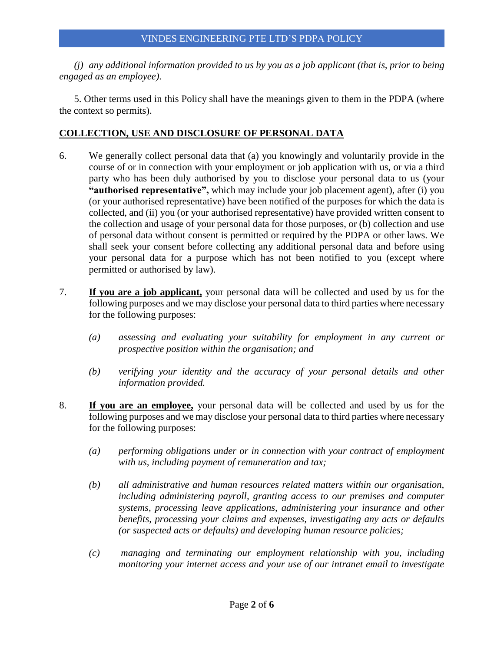*(j) any additional information provided to us by you as a job applicant (that is, prior to being engaged as an employee).* 

5. Other terms used in this Policy shall have the meanings given to them in the PDPA (where the context so permits).

## **COLLECTION, USE AND DISCLOSURE OF PERSONAL DATA**

- 6. We generally collect personal data that (a) you knowingly and voluntarily provide in the course of or in connection with your employment or job application with us, or via a third party who has been duly authorised by you to disclose your personal data to us (your **"authorised representative",** which may include your job placement agent), after (i) you (or your authorised representative) have been notified of the purposes for which the data is collected, and (ii) you (or your authorised representative) have provided written consent to the collection and usage of your personal data for those purposes, or (b) collection and use of personal data without consent is permitted or required by the PDPA or other laws. We shall seek your consent before collecting any additional personal data and before using your personal data for a purpose which has not been notified to you (except where permitted or authorised by law).
- 7. **If you are a job applicant,** your personal data will be collected and used by us for the following purposes and we may disclose your personal data to third parties where necessary for the following purposes:
	- *(a) assessing and evaluating your suitability for employment in any current or prospective position within the organisation; and*
	- *(b) verifying your identity and the accuracy of your personal details and other information provided.*
- 8. **If you are an employee,** your personal data will be collected and used by us for the following purposes and we may disclose your personal data to third parties where necessary for the following purposes:
	- *(a) performing obligations under or in connection with your contract of employment with us, including payment of remuneration and tax;*
	- *(b) all administrative and human resources related matters within our organisation, including administering payroll, granting access to our premises and computer systems, processing leave applications, administering your insurance and other benefits, processing your claims and expenses, investigating any acts or defaults (or suspected acts or defaults) and developing human resource policies;*
	- *(c) managing and terminating our employment relationship with you, including monitoring your internet access and your use of our intranet email to investigate*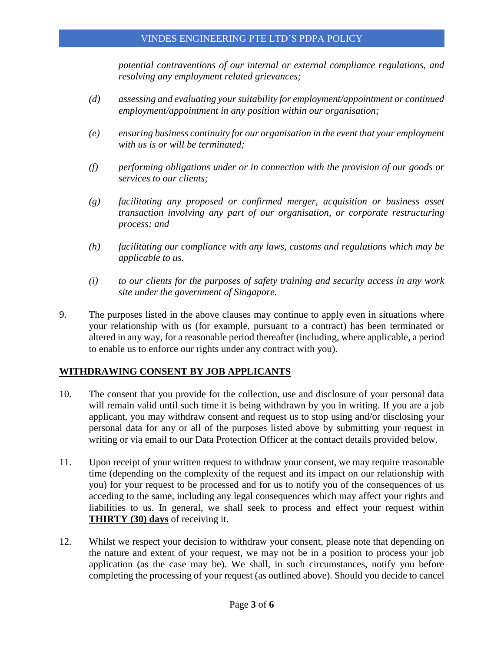#### VINDES ENGINEERING PTE LTD'S PDPA POLICY

*potential contraventions of our internal or external compliance regulations, and resolving any employment related grievances;* 

- *(d) assessing and evaluating your suitability for employment/appointment or continued employment/appointment in any position within our organisation;*
- *(e) ensuring business continuity for our organisation in the event that your employment with us is or will be terminated;*
- *(f) performing obligations under or in connection with the provision of our goods or services to our clients;*
- *(g) facilitating any proposed or confirmed merger, acquisition or business asset transaction involving any part of our organisation, or corporate restructuring process; and*
- *(h) facilitating our compliance with any laws, customs and regulations which may be applicable to us.*
- *(i) to our clients for the purposes of safety training and security access in any work site under the government of Singapore.*
- 9. The purposes listed in the above clauses may continue to apply even in situations where your relationship with us (for example, pursuant to a contract) has been terminated or altered in any way, for a reasonable period thereafter (including, where applicable, a period to enable us to enforce our rights under any contract with you).

## **WITHDRAWING CONSENT BY JOB APPLICANTS**

- 10. The consent that you provide for the collection, use and disclosure of your personal data will remain valid until such time it is being withdrawn by you in writing. If you are a job applicant, you may withdraw consent and request us to stop using and/or disclosing your personal data for any or all of the purposes listed above by submitting your request in writing or via email to our Data Protection Officer at the contact details provided below.
- 11. Upon receipt of your written request to withdraw your consent, we may require reasonable time (depending on the complexity of the request and its impact on our relationship with you) for your request to be processed and for us to notify you of the consequences of us acceding to the same, including any legal consequences which may affect your rights and liabilities to us. In general, we shall seek to process and effect your request within **THIRTY (30) days** of receiving it.
- 12. Whilst we respect your decision to withdraw your consent, please note that depending on the nature and extent of your request, we may not be in a position to process your job application (as the case may be). We shall, in such circumstances, notify you before completing the processing of your request (as outlined above). Should you decide to cancel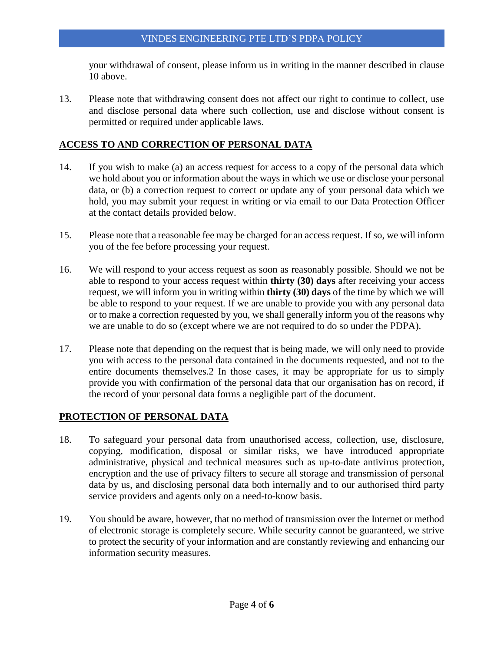your withdrawal of consent, please inform us in writing in the manner described in clause 10 above.

13. Please note that withdrawing consent does not affect our right to continue to collect, use and disclose personal data where such collection, use and disclose without consent is permitted or required under applicable laws.

### **ACCESS TO AND CORRECTION OF PERSONAL DATA**

- 14. If you wish to make (a) an access request for access to a copy of the personal data which we hold about you or information about the ways in which we use or disclose your personal data, or (b) a correction request to correct or update any of your personal data which we hold, you may submit your request in writing or via email to our Data Protection Officer at the contact details provided below.
- 15. Please note that a reasonable fee may be charged for an access request. If so, we will inform you of the fee before processing your request.
- 16. We will respond to your access request as soon as reasonably possible. Should we not be able to respond to your access request within **thirty (30) days** after receiving your access request, we will inform you in writing within **thirty (30) days** of the time by which we will be able to respond to your request. If we are unable to provide you with any personal data or to make a correction requested by you, we shall generally inform you of the reasons why we are unable to do so (except where we are not required to do so under the PDPA).
- 17. Please note that depending on the request that is being made, we will only need to provide you with access to the personal data contained in the documents requested, and not to the entire documents themselves.2 In those cases, it may be appropriate for us to simply provide you with confirmation of the personal data that our organisation has on record, if the record of your personal data forms a negligible part of the document.

## **PROTECTION OF PERSONAL DATA**

- 18. To safeguard your personal data from unauthorised access, collection, use, disclosure, copying, modification, disposal or similar risks, we have introduced appropriate administrative, physical and technical measures such as up-to-date antivirus protection, encryption and the use of privacy filters to secure all storage and transmission of personal data by us, and disclosing personal data both internally and to our authorised third party service providers and agents only on a need-to-know basis.
- 19. You should be aware, however, that no method of transmission over the Internet or method of electronic storage is completely secure. While security cannot be guaranteed, we strive to protect the security of your information and are constantly reviewing and enhancing our information security measures.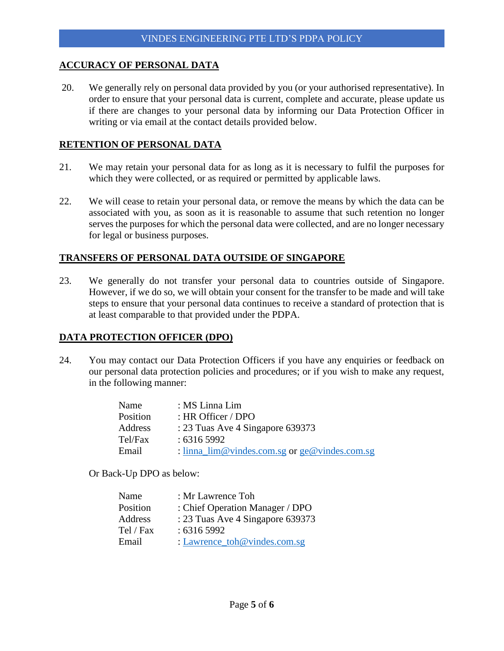#### **ACCURACY OF PERSONAL DATA**

20. We generally rely on personal data provided by you (or your authorised representative). In order to ensure that your personal data is current, complete and accurate, please update us if there are changes to your personal data by informing our Data Protection Officer in writing or via email at the contact details provided below.

### **RETENTION OF PERSONAL DATA**

- 21. We may retain your personal data for as long as it is necessary to fulfil the purposes for which they were collected, or as required or permitted by applicable laws.
- 22. We will cease to retain your personal data, or remove the means by which the data can be associated with you, as soon as it is reasonable to assume that such retention no longer serves the purposes for which the personal data were collected, and are no longer necessary for legal or business purposes.

#### **TRANSFERS OF PERSONAL DATA OUTSIDE OF SINGAPORE**

23. We generally do not transfer your personal data to countries outside of Singapore. However, if we do so, we will obtain your consent for the transfer to be made and will take steps to ensure that your personal data continues to receive a standard of protection that is at least comparable to that provided under the PDPA.

#### **DATA PROTECTION OFFICER (DPO)**

24. You may contact our Data Protection Officers if you have any enquiries or feedback on our personal data protection policies and procedures; or if you wish to make any request, in the following manner:

| Name     | : MS Linna Lim                                                     |
|----------|--------------------------------------------------------------------|
| Position | : HR Officer / DPO                                                 |
| Address  | : 23 Tuas Ave 4 Singapore 639373                                   |
| Tel/Fax  | : 63165992                                                         |
| Email    | : $\lim_{\alpha \to \infty}$ lim@vindes.com.sg or ge@vindes.com.sg |
|          |                                                                    |

Or Back-Up DPO as below:

| Name      | : Mr Lawrence Toh                |
|-----------|----------------------------------|
| Position  | : Chief Operation Manager / DPO  |
| Address   | : 23 Tuas Ave 4 Singapore 639373 |
| Tel / Fax | : 63165992                       |
| Email     | : Lawrence_toh@vindes.com.sg     |
|           |                                  |